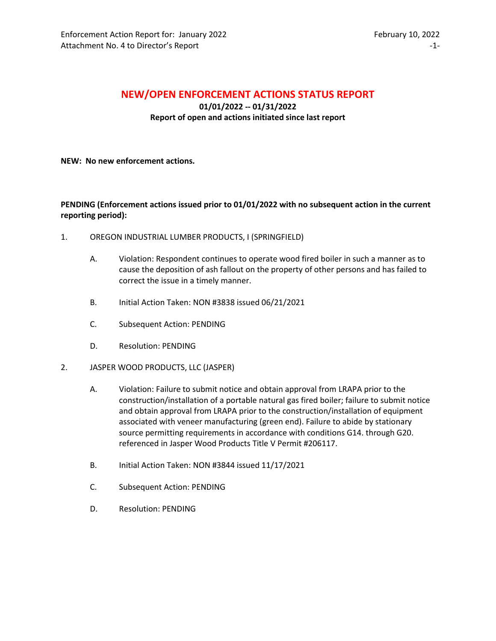## **NEW/OPEN ENFORCEMENT ACTIONS STATUS REPORT**

**01/01/2022 -- 01/31/2022 Report of open and actions initiated since last report**

## **NEW: No new enforcement actions.**

## **PENDING (Enforcement actions issued prior to 01/01/2022 with no subsequent action in the current reporting period):**

- 1. OREGON INDUSTRIAL LUMBER PRODUCTS, I (SPRINGFIELD)
	- A. Violation: Respondent continues to operate wood fired boiler in such a manner as to cause the deposition of ash fallout on the property of other persons and has failed to correct the issue in a timely manner.
	- B. Initial Action Taken: NON #3838 issued 06/21/2021
	- C. Subsequent Action: PENDING
	- D. Resolution: PENDING
- 2. JASPER WOOD PRODUCTS, LLC (JASPER)
	- A. Violation: Failure to submit notice and obtain approval from LRAPA prior to the construction/installation of a portable natural gas fired boiler; failure to submit notice and obtain approval from LRAPA prior to the construction/installation of equipment associated with veneer manufacturing (green end). Failure to abide by stationary source permitting requirements in accordance with conditions G14. through G20. referenced in Jasper Wood Products Title V Permit #206117.
	- B. Initial Action Taken: NON #3844 issued 11/17/2021
	- C. Subsequent Action: PENDING
	- D. Resolution: PENDING